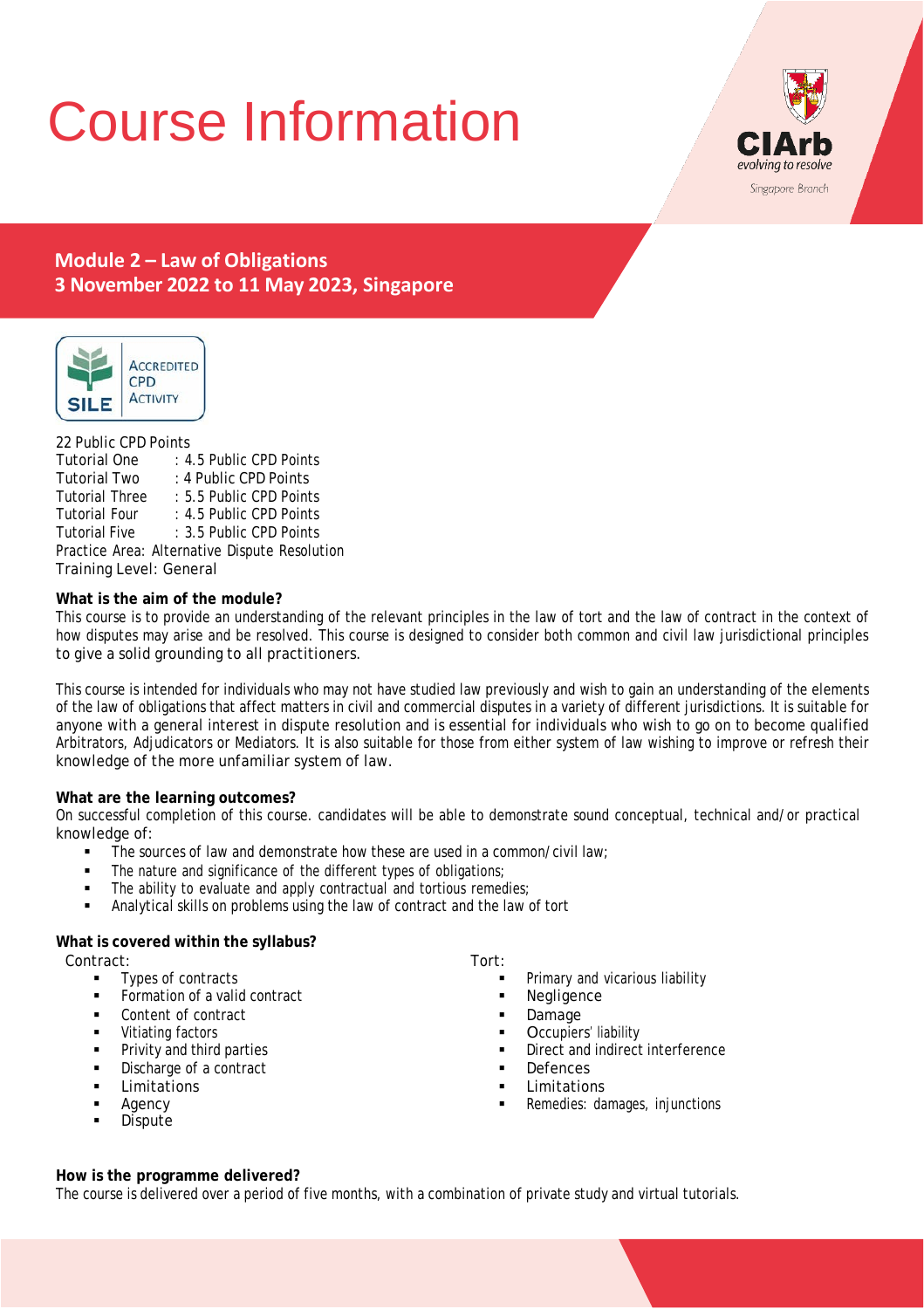# Course Information



# **Module 2 – Law of Obligations 3 November 2022 to 11 May 2023, Singapore**



# 22 Public CPD Points

| Tutorial One                                  | : 4.5 Public CPD Points |  |
|-----------------------------------------------|-------------------------|--|
| Tutorial Two                                  | : 4 Public CPD Points   |  |
| Tutorial Three                                | : 5.5 Public CPD Points |  |
| Tutorial Four                                 | : 4.5 Public CPD Points |  |
| Tutorial Five                                 | : 3.5 Public CPD Points |  |
| Practice Area: Alternative Dispute Resolution |                         |  |
| Training Level: General                       |                         |  |

# **What is the aim of the module?**

This course is to provide an understanding of the relevant principles in the law of tort and the law of contract in the context of how disputes may arise and be resolved. This course is designed to consider both common and civil law jurisdictional principles to give a solid grounding to all practitioners.

This course is intended for individuals who may not have studied law previously and wish to gain an understanding of the elements of the law of obligations that affect matters in civil and commercial disputes in a variety of different jurisdictions. It is suitable for anyone with a general interest in dispute resolution and is essential for individuals who wish to go on to become qualified Arbitrators, Adjudicators or Mediators. It is also suitable for those from either system of law wishing to improve or refresh their knowledge of the more unfamiliar system of law.

# **What are the learning outcomes?**

On successful completion of this course. candidates will be able to demonstrate sound conceptual, technical and/or practical knowledge of:

- $\blacksquare$  The sources of law and demonstrate how these are used in a common/civil law;
- The nature and significance of the different types of obligations;
- The ability to evaluate and apply contractual and tortious remedies;
- Analytical skills on problems using the law of contract and the law of tort

# **What is covered within the syllabus?**

Contract:

- Types of contracts
- Formation of a valid contract
- **Content of contract**
- **•** Vitiating factors
- **Privity and third parties**
- **Discharge of a contract**
- **Limitations**
- Agency
- **Dispute**

#### Tort:

- Primary and vicarious liability
- Negligence
- Damage
- Occupiers' liability
- Direct and indirect interference
- **Defences**
- Limitations
- Remedies: damages, injunctions

# **How is the programme delivered?**

The course is delivered over a period of five months, with a combination of private study and virtual tutorials.